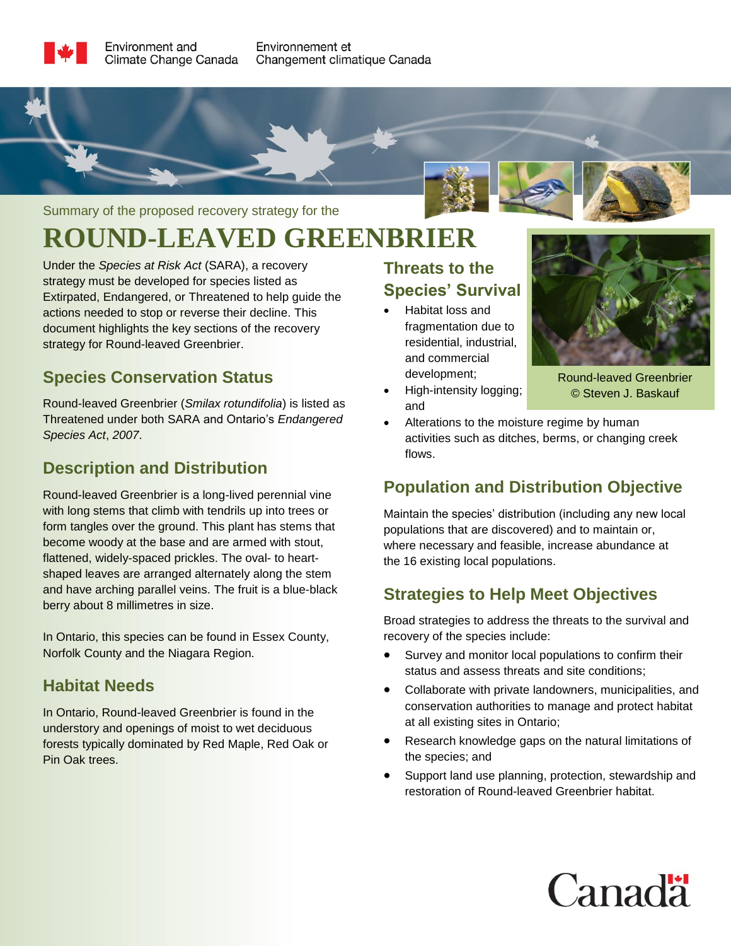#### Summary of the proposed recovery strategy for the

# **ROUND-LEAVED GREENBRIER**

Under the *Species at Risk Act* (SARA), a recovery strategy must be developed for species listed as Extirpated, Endangered, or Threatened to help guide the actions needed to stop or reverse their decline. This document highlights the key sections of the recovery strategy for Round-leaved Greenbrier.

#### **Species Conservation Status**

Round-leaved Greenbrier (*Smilax rotundifolia*) is listed as Threatened under both SARA and Ontario's *Endangered Species Act*, *2007*.

## **Description and Distribution**

Round-leaved Greenbrier is a long-lived perennial vine with long stems that climb with tendrils up into trees or form tangles over the ground. This plant has stems that become woody at the base and are armed with stout, flattened, widely-spaced prickles. The oval- to heartshaped leaves are arranged alternately along the stem and have arching parallel veins. The fruit is a blue-black berry about 8 millimetres in size.

In Ontario, this species can be found in Essex County, Norfolk County and the Niagara Region.

## **Habitat Needs**

In Ontario, Round-leaved Greenbrier is found in the understory and openings of moist to wet deciduous forests typically dominated by Red Maple, Red Oak or Pin Oak trees.

## **Threats to the Species' Survival**

- Habitat loss and fragmentation due to residential, industrial, and commercial development;
- High-intensity logging; and



Round-leaved Greenbrier © Steven J. Baskauf

• Alterations to the moisture regime by human activities such as ditches, berms, or changing creek flows.

## **Population and Distribution Objective**

Maintain the species' distribution (including any new local populations that are discovered) and to maintain or, where necessary and feasible, increase abundance at the 16 existing local populations.

## **Strategies to Help Meet Objectives**

Broad strategies to address the threats to the survival and recovery of the species include:

- Survey and monitor local populations to confirm their status and assess threats and site conditions;
- Collaborate with private landowners, municipalities, and conservation authorities to manage and protect habitat at all existing sites in Ontario;
- Research knowledge gaps on the natural limitations of the species; and
- Support land use planning, protection, stewardship and restoration of Round-leaved Greenbrier habitat.